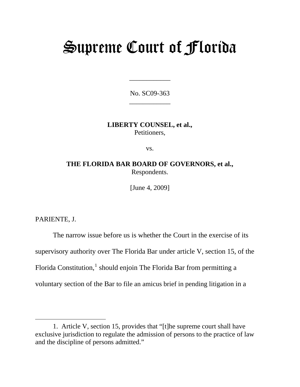# Supreme Court of Florida

No. SC09-363 \_\_\_\_\_\_\_\_\_\_\_\_

\_\_\_\_\_\_\_\_\_\_\_\_

**LIBERTY COUNSEL, et al.,**  Petitioners,

vs.

**THE FLORIDA BAR BOARD OF GOVERNORS, et al.,**  Respondents.

[June 4, 2009]

PARIENTE, J.

 $\overline{a}$ 

The narrow issue before us is whether the Court in the exercise of its supervisory authority over The Florida Bar under article V, section 15, of the Florida Constitution,<sup>[1](#page-0-0)</sup> should enjoin The Florida Bar from permitting a voluntary section of the Bar to file an amicus brief in pending litigation in a

<span id="page-0-0"></span> <sup>1.</sup> Article V, section 15, provides that "[t]he supreme court shall have exclusive jurisdiction to regulate the admission of persons to the practice of law and the discipline of persons admitted."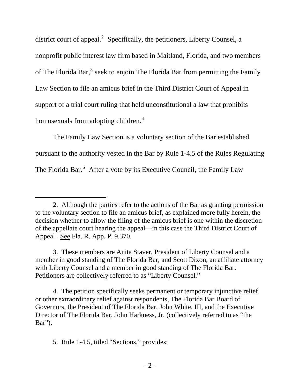district court of appeal.<sup>[2](#page-1-0)</sup> Specifically, the petitioners, Liberty Counsel, a nonprofit public interest law firm based in Maitland, Florida, and two members of The Florida Bar,<sup>[3](#page-1-1)</sup> seek to enjoin The Florida Bar from permitting the Family Law Section to file an amicus brief in the Third District Court of Appeal in support of a trial court ruling that held unconstitutional a law that prohibits homosexuals from adopting children.<sup>[4](#page-1-2)</sup>

The Family Law Section is a voluntary section of the Bar established pursuant to the authority vested in the Bar by Rule 1-4.5 of the Rules Regulating The Florida Bar.<sup>[5](#page-1-3)</sup> After a vote by its Executive Council, the Family Law

<span id="page-1-3"></span>5. Rule 1-4.5, titled "Sections," provides:

 $\overline{a}$ 

<span id="page-1-0"></span><sup>2.</sup> Although the parties refer to the actions of the Bar as granting permission to the voluntary section to file an amicus brief, as explained more fully herein, the decision whether to allow the filing of the amicus brief is one within the discretion of the appellate court hearing the appeal—in this case the Third District Court of Appeal. See Fla. R. App. P. 9.370.

<span id="page-1-1"></span><sup>3.</sup> These members are Anita Staver, President of Liberty Counsel and a member in good standing of The Florida Bar, and Scott Dixon, an affiliate attorney with Liberty Counsel and a member in good standing of The Florida Bar. Petitioners are collectively referred to as "Liberty Counsel."

<span id="page-1-2"></span><sup>4.</sup> The petition specifically seeks permanent or temporary injunctive relief or other extraordinary relief against respondents, The Florida Bar Board of Governors, the President of The Florida Bar, John White, III, and the Executive Director of The Florida Bar, John Harkness, Jr. (collectively referred to as "the Bar").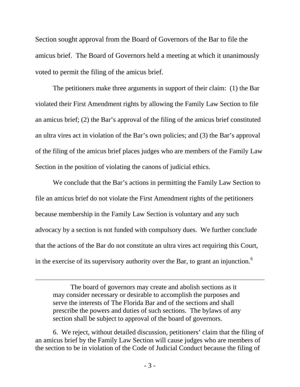Section sought approval from the Board of Governors of the Bar to file the amicus brief. The Board of Governors held a meeting at which it unanimously voted to permit the filing of the amicus brief.

The petitioners make three arguments in support of their claim: (1) the Bar violated their First Amendment rights by allowing the Family Law Section to file an amicus brief; (2) the Bar's approval of the filing of the amicus brief constituted an ultra vires act in violation of the Bar's own policies; and (3) the Bar's approval of the filing of the amicus brief places judges who are members of the Family Law Section in the position of violating the canons of judicial ethics.

We conclude that the Bar's actions in permitting the Family Law Section to file an amicus brief do not violate the First Amendment rights of the petitioners because membership in the Family Law Section is voluntary and any such advocacy by a section is not funded with compulsory dues. We further conclude that the actions of the Bar do not constitute an ultra vires act requiring this Court, in the exercise of its supervisory authority over the Bar, to grant an injunction.<sup>[6](#page-2-0)</sup>

The board of governors may create and abolish sections as it may consider necessary or desirable to accomplish the purposes and serve the interests of The Florida Bar and of the sections and shall prescribe the powers and duties of such sections. The bylaws of any section shall be subject to approval of the board of governors.

 $\overline{a}$ 

<span id="page-2-0"></span>6. We reject, without detailed discussion, petitioners' claim that the filing of an amicus brief by the Family Law Section will cause judges who are members of the section to be in violation of the Code of Judicial Conduct because the filing of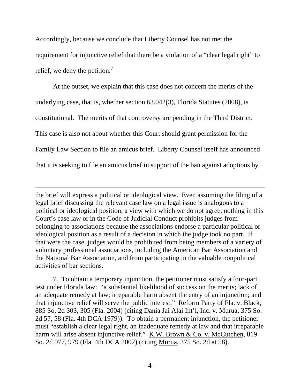Accordingly, because we conclude that Liberty Counsel has not met the requirement for injunctive relief that there be a violation of a "clear legal right" to relief, we deny the petition.<sup>[7](#page-3-0)</sup>

At the outset, we explain that this case does not concern the merits of the underlying case, that is, whether section 63.042(3), Florida Statutes (2008), is constitutional. The merits of that controversy are pending in the Third District. This case is also not about whether this Court should grant permission for the Family Law Section to file an amicus brief. Liberty Counsel itself has announced that it is seeking to file an amicus brief in support of the ban against adoptions by

the brief will express a political or ideological view. Even assuming the filing of a legal brief discussing the relevant case law on a legal issue is analogous to a political or ideological position, a view with which we do not agree, nothing in this Court's case law or in the Code of Judicial Conduct prohibits judges from belonging to associations because the associations endorse a particular political or ideological position as a result of a decision in which the judge took no part. If that were the case, judges would be prohibited from being members of a variety of voluntary professional associations, including the American Bar Association and the National Bar Association, and from participating in the valuable nonpolitical activities of bar sections.

-

<span id="page-3-0"></span> 7. To obtain a temporary injunction, the petitioner must satisfy a four-part test under Florida law: "a substantial likelihood of success on the merits; lack of an adequate remedy at law; irreparable harm absent the entry of an injunction; and that injunctive relief will serve the public interest." Reform Party of Fla. v. Black, 885 So. 2d 303, 305 (Fla. 2004) (citing Dania Jai Alai Int'l, Inc. v. Murua, 375 So. 2d 57, 58 (Fla. 4th DCA 1979)). To obtain a permanent injunction, the petitioner must "establish a clear legal right, an inadequate remedy at law and that irreparable harm will arise absent injunctive relief." K.W. Brown & Co. v. McCutchen, 819 So. 2d 977, 979 (Fla. 4th DCA 2002) (citing Murua, 375 So. 2d at 58).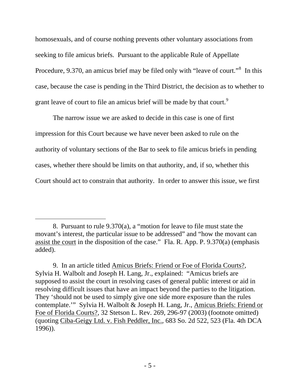homosexuals, and of course nothing prevents other voluntary associations from seeking to file amicus briefs. Pursuant to the applicable Rule of Appellate Procedure, 9.370, an amicus brief may be filed only with "leave of court."<sup>[8](#page-4-0)</sup> In this case, because the case is pending in the Third District, the decision as to whether to grant leave of court to file an amicus brief will be made by that court.<sup>9</sup>

The narrow issue we are asked to decide in this case is one of first impression for this Court because we have never been asked to rule on the authority of voluntary sections of the Bar to seek to file amicus briefs in pending cases, whether there should be limits on that authority, and, if so, whether this Court should act to constrain that authority. In order to answer this issue, we first

<span id="page-4-0"></span> $\overline{a}$ 8. Pursuant to rule 9.370(a), a "motion for leave to file must state the movant's interest, the particular issue to be addressed" and "how the movant can assist the court in the disposition of the case." Fla. R. App. P. 9.370(a) (emphasis added).

<span id="page-4-1"></span> <sup>9.</sup> In an article titled Amicus Briefs: Friend or Foe of Florida Courts?, Sylvia H. Walbolt and Joseph H. Lang, Jr., explained: "Amicus briefs are supposed to assist the court in resolving cases of general public interest or aid in resolving difficult issues that have an impact beyond the parties to the litigation. They 'should not be used to simply give one side more exposure than the rules contemplate.'" Sylvia H. Walbolt & Joseph H. Lang, Jr., Amicus Briefs: Friend or Foe of Florida Courts?, 32 Stetson L. Rev. 269, 296-97 (2003) (footnote omitted) (quoting Ciba-Geigy Ltd. v. Fish Peddler, Inc., 683 So. 2d 522, 523 (Fla. 4th DCA 1996)).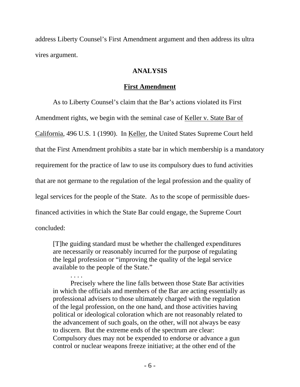address Liberty Counsel's First Amendment argument and then address its ultra vires argument.

# **ANALYSIS**

### **First Amendment**

As to Liberty Counsel's claim that the Bar's actions violated its First Amendment rights, we begin with the seminal case of Keller v. State Bar of California, 496 U.S. 1 (1990). In Keller, the United States Supreme Court held that the First Amendment prohibits a state bar in which membership is a mandatory requirement for the practice of law to use its compulsory dues to fund activities that are not germane to the regulation of the legal profession and the quality of legal services for the people of the State. As to the scope of permissible duesfinanced activities in which the State Bar could engage, the Supreme Court concluded:

[T]he guiding standard must be whether the challenged expenditures are necessarily or reasonably incurred for the purpose of regulating the legal profession or "improving the quality of the legal service available to the people of the State."

. . . . Precisely where the line falls between those State Bar activities in which the officials and members of the Bar are acting essentially as professional advisers to those ultimately charged with the regulation of the legal profession, on the one hand, and those activities having political or ideological coloration which are not reasonably related to the advancement of such goals, on the other, will not always be easy to discern. But the extreme ends of the spectrum are clear: Compulsory dues may not be expended to endorse or advance a gun control or nuclear weapons freeze initiative; at the other end of the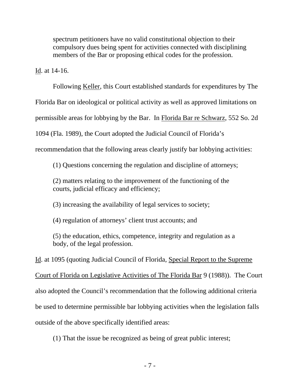spectrum petitioners have no valid constitutional objection to their compulsory dues being spent for activities connected with disciplining members of the Bar or proposing ethical codes for the profession.

Id. at 14-16.

 Following Keller, this Court established standards for expenditures by The Florida Bar on ideological or political activity as well as approved limitations on permissible areas for lobbying by the Bar. In Florida Bar re Schwarz, 552 So. 2d 1094 (Fla. 1989), the Court adopted the Judicial Council of Florida's recommendation that the following areas clearly justify bar lobbying activities:

(1) Questions concerning the regulation and discipline of attorneys;

(2) matters relating to the improvement of the functioning of the courts, judicial efficacy and efficiency;

(3) increasing the availability of legal services to society;

(4) regulation of attorneys' client trust accounts; and

(5) the education, ethics, competence, integrity and regulation as a body, of the legal profession.

Id. at 1095 (quoting Judicial Council of Florida, Special Report to the Supreme Court of Florida on Legislative Activities of The Florida Bar 9 (1988)). The Court also adopted the Council's recommendation that the following additional criteria be used to determine permissible bar lobbying activities when the legislation falls outside of the above specifically identified areas:

(1) That the issue be recognized as being of great public interest;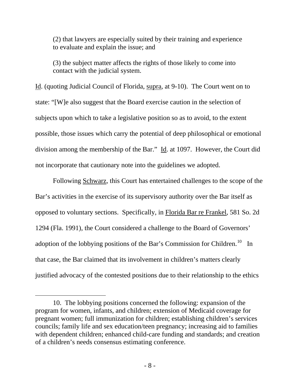(2) that lawyers are especially suited by their training and experience to evaluate and explain the issue; and

(3) the subject matter affects the rights of those likely to come into contact with the judicial system.

Id. (quoting Judicial Council of Florida, supra, at 9-10). The Court went on to state: "[W]e also suggest that the Board exercise caution in the selection of subjects upon which to take a legislative position so as to avoid, to the extent possible, those issues which carry the potential of deep philosophical or emotional division among the membership of the Bar." Id. at 1097. However, the Court did not incorporate that cautionary note into the guidelines we adopted.

Following Schwarz, this Court has entertained challenges to the scope of the Bar's activities in the exercise of its supervisory authority over the Bar itself as opposed to voluntary sections. Specifically, in Florida Bar re Frankel, 581 So. 2d 1294 (Fla. 1991), the Court considered a challenge to the Board of Governors' adoption of the lobbying positions of the Bar's Commission for Children.<sup>[10](#page-7-0)</sup> In that case, the Bar claimed that its involvement in children's matters clearly justified advocacy of the contested positions due to their relationship to the ethics

 $\overline{a}$ 

<span id="page-7-0"></span> <sup>10.</sup> The lobbying positions concerned the following: expansion of the program for women, infants, and children; extension of Medicaid coverage for pregnant women; full immunization for children; establishing children's services councils; family life and sex education/teen pregnancy; increasing aid to families with dependent children; enhanced child-care funding and standards; and creation of a children's needs consensus estimating conference.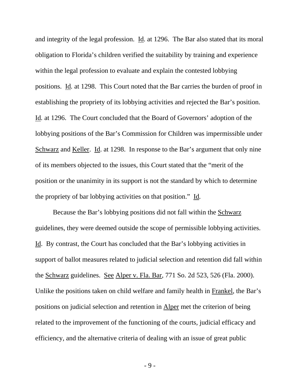and integrity of the legal profession. **Id.** at 1296. The Bar also stated that its moral obligation to Florida's children verified the suitability by training and experience within the legal profession to evaluate and explain the contested lobbying positions. Id*.* at 1298. This Court noted that the Bar carries the burden of proof in establishing the propriety of its lobbying activities and rejected the Bar's position. Id*.* at 1296. The Court concluded that the Board of Governors' adoption of the lobbying positions of the Bar's Commission for Children was impermissible under Schwarz and Keller. Id. at 1298. In response to the Bar's argument that only nine of its members objected to the issues, this Court stated that the "merit of the position or the unanimity in its support is not the standard by which to determine the propriety of bar lobbying activities on that position." Id*.*

Because the Bar's lobbying positions did not fall within the Schwarz guidelines, they were deemed outside the scope of permissible lobbying activities. Id. By contrast, the Court has concluded that the Bar's lobbying activities in support of ballot measures related to judicial selection and retention did fall within the Schwarz guidelines. See Alper v. Fla. Bar, 771 So. 2d 523, 526 (Fla. 2000). Unlike the positions taken on child welfare and family health in Frankel, the Bar's positions on judicial selection and retention in Alper met the criterion of being related to the improvement of the functioning of the courts, judicial efficacy and efficiency, and the alternative criteria of dealing with an issue of great public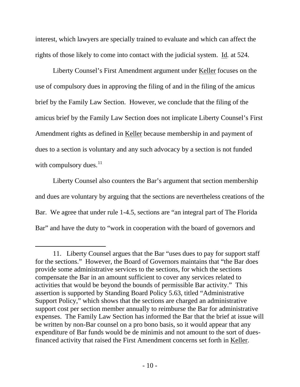interest, which lawyers are specially trained to evaluate and which can affect the rights of those likely to come into contact with the judicial system. Id*.* at 524.

Liberty Counsel's First Amendment argument under Keller focuses on the use of compulsory dues in approving the filing of and in the filing of the amicus brief by the Family Law Section. However, we conclude that the filing of the amicus brief by the Family Law Section does not implicate Liberty Counsel's First Amendment rights as defined in Keller because membership in and payment of dues to a section is voluntary and any such advocacy by a section is not funded with compulsory dues. $^{11}$  $^{11}$  $^{11}$ 

Liberty Counsel also counters the Bar's argument that section membership and dues are voluntary by arguing that the sections are nevertheless creations of the Bar. We agree that under rule 1-4.5, sections are "an integral part of The Florida Bar" and have the duty to "work in cooperation with the board of governors and

<span id="page-9-0"></span> $\overline{a}$ 11. Liberty Counsel argues that the Bar "uses dues to pay for support staff for the sections." However, the Board of Governors maintains that "the Bar does provide some administrative services to the sections, for which the sections compensate the Bar in an amount sufficient to cover any services related to activities that would be beyond the bounds of permissible Bar activity." This assertion is supported by Standing Board Policy 5.63, titled "Administrative Support Policy," which shows that the sections are charged an administrative support cost per section member annually to reimburse the Bar for administrative expenses. The Family Law Section has informed the Bar that the brief at issue will be written by non-Bar counsel on a pro bono basis, so it would appear that any expenditure of Bar funds would be de minimis and not amount to the sort of duesfinanced activity that raised the First Amendment concerns set forth in Keller.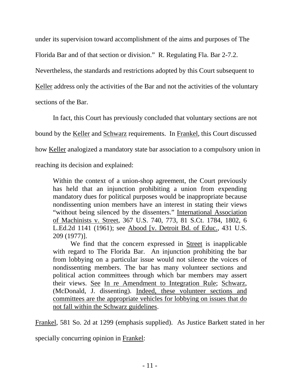under its supervision toward accomplishment of the aims and purposes of The

Florida Bar and of that section or division." R. Regulating Fla. Bar 2-7.2.

Nevertheless, the standards and restrictions adopted by this Court subsequent to

Keller address only the activities of the Bar and not the activities of the voluntary

sections of the Bar.

In fact, this Court has previously concluded that voluntary sections are not

bound by the Keller and Schwarz requirements. In Frankel, this Court discussed

how Keller analogized a mandatory state bar association to a compulsory union in

reaching its decision and explained:

Within the context of a union-shop agreement, the Court previously has held that an injunction prohibiting a union from expending mandatory dues for political purposes would be inappropriate because nondissenting union members have an interest in stating their views "without being silenced by the dissenters." International Association of Machinists v. Street, 367 U.S. 740, 773, 81 S.Ct. 1784, 1802, 6 L.Ed.2d 1141 (1961); see Abood [v. Detroit Bd. of Educ., 431 U.S. 209 (1977)].

We find that the concern expressed in Street is inapplicable with regard to The Florida Bar. An injunction prohibiting the bar from lobbying on a particular issue would not silence the voices of nondissenting members. The bar has many volunteer sections and political action committees through which bar members may assert their views. See In re Amendment to Integration Rule; Schwarz, (McDonald, J. dissenting). Indeed, these volunteer sections and committees are the appropriate vehicles for lobbying on issues that do not fall within the Schwarz guidelines.

Frankel, 581 So. 2d at 1299 (emphasis supplied). As Justice Barkett stated in her

specially concurring opinion in Frankel: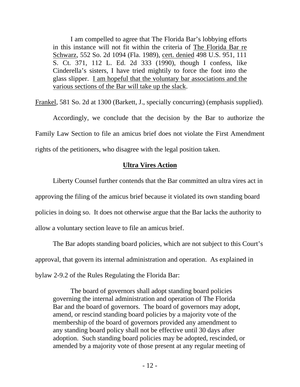I am compelled to agree that The Florida Bar's lobbying efforts in this instance will not fit within the criteria of The Florida Bar re Schwarz, 552 So. 2d 1094 (Fla. 1989), cert. denied 498 U.S. 951, 111 S. Ct. 371, 112 L. Ed. 2d 333 (1990), though I confess, like Cinderella's sisters, I have tried mightily to force the foot into the glass slipper. I am hopeful that the voluntary bar associations and the various sections of the Bar will take up the slack.

Frankel, 581 So. 2d at 1300 (Barkett, J., specially concurring) (emphasis supplied).

Accordingly, we conclude that the decision by the Bar to authorize the Family Law Section to file an amicus brief does not violate the First Amendment rights of the petitioners, who disagree with the legal position taken.

## **Ultra Vires Action**

Liberty Counsel further contends that the Bar committed an ultra vires act in approving the filing of the amicus brief because it violated its own standing board policies in doing so. It does not otherwise argue that the Bar lacks the authority to allow a voluntary section leave to file an amicus brief.

The Bar adopts standing board policies, which are not subject to this Court's approval, that govern its internal administration and operation. As explained in bylaw 2-9.2 of the Rules Regulating the Florida Bar:

The board of governors shall adopt standing board policies governing the internal administration and operation of The Florida Bar and the board of governors. The board of governors may adopt, amend, or rescind standing board policies by a majority vote of the membership of the board of governors provided any amendment to any standing board policy shall not be effective until 30 days after adoption. Such standing board policies may be adopted, rescinded, or amended by a majority vote of those present at any regular meeting of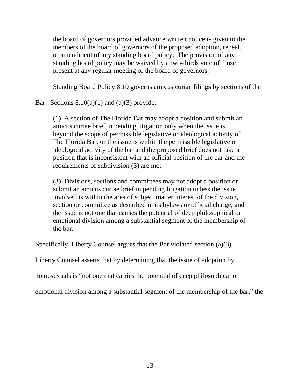the board of governors provided advance written notice is given to the members of the board of governors of the proposed adoption, repeal, or amendment of any standing board policy. The provision of any standing board policy may be waived by a two-thirds vote of those present at any regular meeting of the board of governors.

Standing Board Policy 8.10 governs amicus curiae filings by sections of the

Bar. Sections  $8.10(a)(1)$  and  $(a)(3)$  provide:

(1) A section of The Florida Bar may adopt a position and submit an amicus curiae brief in pending litigation only when the issue is beyond the scope of permissible legislative or ideological activity of The Florida Bar, or the issue is within the permissible legislative or ideological activity of the bar and the proposed brief does not take a position that is inconsistent with an official position of the bar and the requirements of subdivision (3) are met.

(3) Divisions, sections and committees may not adopt a position or submit an amicus curiae brief in pending litigation unless the issue involved is within the area of subject matter interest of the division, section or committee as described in its bylaws or official charge, and the issue is not one that carries the potential of deep philosophical or emotional division among a substantial segment of the membership of the bar.

Specifically, Liberty Counsel argues that the Bar violated section (a)(3).

Liberty Counsel asserts that by determining that the issue of adoption by

homosexuals is "not one that carries the potential of deep philosophical or

emotional division among a substantial segment of the membership of the bar," the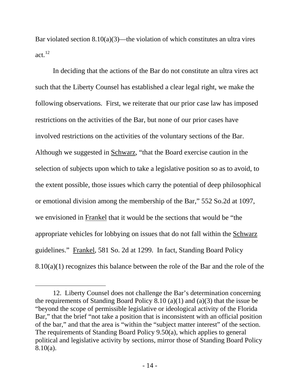Bar violated section  $8.10(a)(3)$ —the violation of which constitutes an ultra vires act.[12](#page-13-0)

 In deciding that the actions of the Bar do not constitute an ultra vires act such that the Liberty Counsel has established a clear legal right, we make the following observations. First, we reiterate that our prior case law has imposed restrictions on the activities of the Bar, but none of our prior cases have involved restrictions on the activities of the voluntary sections of the Bar. Although we suggested in Schwarz, "that the Board exercise caution in the selection of subjects upon which to take a legislative position so as to avoid, to the extent possible, those issues which carry the potential of deep philosophical or emotional division among the membership of the Bar," 552 So.2d at 1097, we envisioned in Frankel that it would be the sections that would be "the appropriate vehicles for lobbying on issues that do not fall within the Schwarz guidelines." Frankel, 581 So. 2d at 1299.In fact, Standing Board Policy 8.10(a)(1) recognizes this balance between the role of the Bar and the role of the

l

<span id="page-13-0"></span><sup>12.</sup> Liberty Counsel does not challenge the Bar's determination concerning the requirements of Standing Board Policy 8.10 (a)(1) and (a)(3) that the issue be "beyond the scope of permissible legislative or ideological activity of the Florida Bar," that the brief "not take a position that is inconsistent with an official position of the bar," and that the area is "within the "subject matter interest" of the section. The requirements of Standing Board Policy 9.50(a), which applies to general political and legislative activity by sections, mirror those of Standing Board Policy 8.10(a).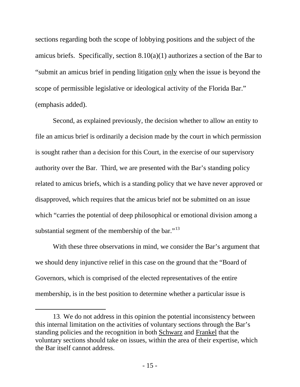sections regarding both the scope of lobbying positions and the subject of the amicus briefs. Specifically, section 8.10(a)(1) authorizes a section of the Bar to "submit an amicus brief in pending litigation only when the issue is beyond the scope of permissible legislative or ideological activity of the Florida Bar." (emphasis added).

Second, as explained previously, the decision whether to allow an entity to file an amicus brief is ordinarily a decision made by the court in which permission is sought rather than a decision for this Court, in the exercise of our supervisory authority over the Bar. Third, we are presented with the Bar's standing policy related to amicus briefs, which is a standing policy that we have never approved or disapproved, which requires that the amicus brief not be submitted on an issue which "carries the potential of deep philosophical or emotional division among a substantial segment of the membership of the bar."<sup>[13](#page-14-0)</sup>

With these three observations in mind, we consider the Bar's argument that we should deny injunctive relief in this case on the ground that the "Board of Governors, which is comprised of the elected representatives of the entire membership, is in the best position to determine whether a particular issue is

 $\overline{a}$ 

<span id="page-14-0"></span><sup>13.</sup> We do not address in this opinion the potential inconsistency between this internal limitation on the activities of voluntary sections through the Bar's standing policies and the recognition in both Schwarz and Frankel that the voluntary sections should take on issues, within the area of their expertise, which the Bar itself cannot address.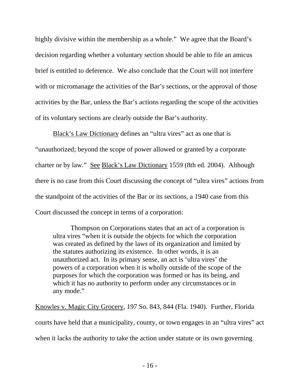highly divisive within the membership as a whole." We agree that the Board's decision regarding whether a voluntary section should be able to file an amicus brief is entitled to deference. We also conclude that the Court will not interfere with or micromanage the activities of the Bar's sections, or the approval of those activities by the Bar, unless the Bar's actions regarding the scope of the activities of its voluntary sections are clearly outside the Bar's authority.

Black's Law Dictionary defines an "ultra vires" act as one that is "unauthorized; beyond the scope of power allowed or granted by a corporate charter or by law." See Black's Law Dictionary 1559 (8th ed. 2004). Although there is no case from this Court discussing the concept of "ultra vires" actions from the standpoint of the activities of the Bar or its sections, a 1940 case from this Court discussed the concept in terms of a corporation:

Thompson on Corporations states that an act of a corporation is ultra vires "when it is outside the objects for which the corporation was created as defined by the laws of its organization and limited by the statutes authorizing its existence. In other words, it is an unauthorized act. In its primary sense, an act is 'ultra vires' the powers of a corporation when it is wholly outside of the scope of the purposes for which the corporation was formed or has its being, and which it has no authority to perform under any circumstances or in any mode."

Knowles v. Magic City Grocery, 197 So. 843, 844 (Fla. 1940). Further, Florida courts have held that a municipality, county, or town engages in an "ultra vires" act when it lacks the authority to take the action under statute or its own governing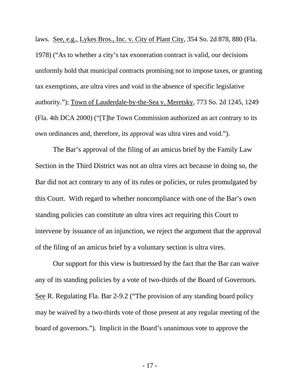laws. See, e.g., Lykes Bros., Inc. v. City of Plant City, 354 So. 2d 878, 880 (Fla. 1978) ("As to whether a city's tax exoneration contract is valid, our decisions uniformly hold that municipal contracts promising not to impose taxes, or granting tax exemptions, are ultra vires and void in the absence of specific legislative authority."); Town of Lauderdale-by-the-Sea v. Meretsky, 773 So. 2d 1245, 1249 (Fla. 4th DCA 2000) ("[T]he Town Commission authorized an act contrary to its own ordinances and, therefore, its approval was ultra vires and void.").

The Bar's approval of the filing of an amicus brief by the Family Law Section in the Third District was not an ultra vires act because in doing so, the Bar did not act contrary to any of its rules or policies, or rules promulgated by this Court. With regard to whether noncompliance with one of the Bar's own standing policies can constitute an ultra vires act requiring this Court to intervene by issuance of an injunction, we reject the argument that the approval of the filing of an amicus brief by a voluntary section is ultra vires.

Our support for this view is buttressed by the fact that the Bar can waive any of its standing policies by a vote of two-thirds of the Board of Governors. See R. Regulating Fla. Bar 2-9.2 ("The provision of any standing board policy may be waived by a two-thirds vote of those present at any regular meeting of the board of governors."). Implicit in the Board's unanimous vote to approve the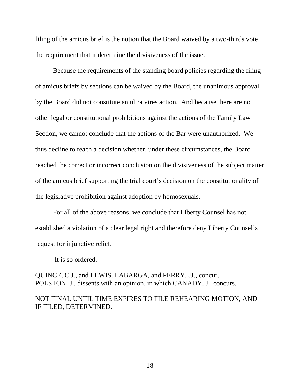filing of the amicus brief is the notion that the Board waived by a two-thirds vote the requirement that it determine the divisiveness of the issue.

 Because the requirements of the standing board policies regarding the filing of amicus briefs by sections can be waived by the Board, the unanimous approval by the Board did not constitute an ultra vires action. And because there are no other legal or constitutional prohibitions against the actions of the Family Law Section, we cannot conclude that the actions of the Bar were unauthorized. We thus decline to reach a decision whether, under these circumstances, the Board reached the correct or incorrect conclusion on the divisiveness of the subject matter of the amicus brief supporting the trial court's decision on the constitutionality of the legislative prohibition against adoption by homosexuals.

For all of the above reasons, we conclude that Liberty Counsel has not established a violation of a clear legal right and therefore deny Liberty Counsel's request for injunctive relief.

It is so ordered.

QUINCE, C.J., and LEWIS, LABARGA, and PERRY, JJ., concur. POLSTON, J., dissents with an opinion, in which CANADY, J., concurs.

# NOT FINAL UNTIL TIME EXPIRES TO FILE REHEARING MOTION, AND IF FILED, DETERMINED.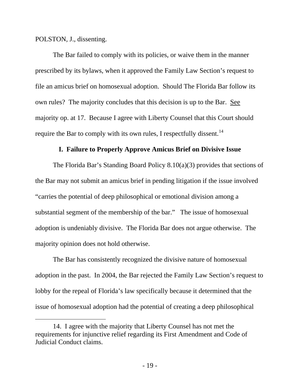POLSTON, J., dissenting.

 $\overline{a}$ 

The Bar failed to comply with its policies, or waive them in the manner prescribed by its bylaws, when it approved the Family Law Section's request to file an amicus brief on homosexual adoption. Should The Florida Bar follow its own rules? The majority concludes that this decision is up to the Bar. See majority op. at 17. Because I agree with Liberty Counsel that this Court should require the Bar to comply with its own rules, I respectfully dissent.<sup>[14](#page-18-0)</sup>

#### **I. Failure to Properly Approve Amicus Brief on Divisive Issue**

The Florida Bar's Standing Board Policy 8.10(a)(3) provides that sections of the Bar may not submit an amicus brief in pending litigation if the issue involved "carries the potential of deep philosophical or emotional division among a substantial segment of the membership of the bar." The issue of homosexual adoption is undeniably divisive. The Florida Bar does not argue otherwise. The majority opinion does not hold otherwise.

The Bar has consistently recognized the divisive nature of homosexual adoption in the past. In 2004, the Bar rejected the Family Law Section's request to lobby for the repeal of Florida's law specifically because it determined that the issue of homosexual adoption had the potential of creating a deep philosophical

<span id="page-18-0"></span> <sup>14.</sup> I agree with the majority that Liberty Counsel has not met the requirements for injunctive relief regarding its First Amendment and Code of Judicial Conduct claims.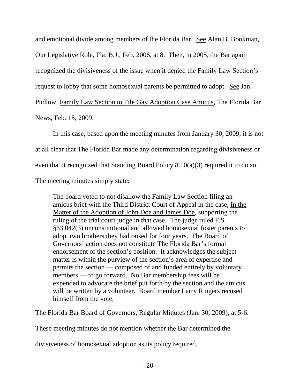and emotional divide among members of the Florida Bar. See Alan B. Bookman, Our Legislative Role, Fla. B.J., Feb. 2006, at 8. Then, in 2005, the Bar again recognized the divisiveness of the issue when it denied the Family Law Section's request to lobby that some homosexual parents be permitted to adopt. See Jan Pudlow, Family Law Section to File Gay Adoption Case Amicus, The Florida Bar News, Feb. 15, 2009.

In this case, based upon the meeting minutes from January 30, 2009, it is not at all clear that The Florida Bar made any determination regarding divisiveness or even that it recognized that Standing Board Policy 8.10(a)(3) required it to do so.

The meeting minutes simply state:

The board voted to not disallow the Family Law Section filing an amicus brief with the Third District Court of Appeal in the case, In the Matter of the Adoption of John Doe and James Doe, supporting the ruling of the trial court judge in that case. The judge ruled F.S. §63.042(3) unconstitutional and allowed homosexual foster parents to adopt two brothers they had raised for four years. The Board of Governors' action does not constitute The Florida Bar's formal endorsement of the section's position. It acknowledges the subject matter is within the purview of the section's area of expertise and permits the section — composed of and funded entirely by voluntary members — to go forward. No Bar membership fees will be expended to advocate the brief put forth by the section and the amicus will be written by a volunteer. Board member Larry Ringers recused himself from the vote.

The Florida Bar Board of Governors, Regular Minutes (Jan. 30, 2009), at 5-6.

These meeting minutes do not mention whether the Bar determined the

divisiveness of homosexual adoption as its policy required.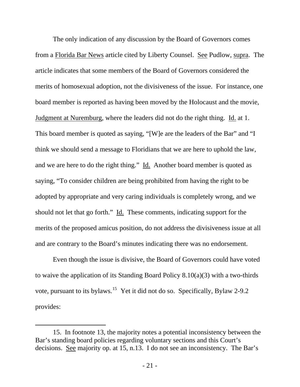The only indication of any discussion by the Board of Governors comes from a Florida Bar News article cited by Liberty Counsel. See Pudlow, supra. The article indicates that some members of the Board of Governors considered the merits of homosexual adoption, not the divisiveness of the issue. For instance, one board member is reported as having been moved by the Holocaust and the movie, Judgment at Nuremburg, where the leaders did not do the right thing. Id. at 1. This board member is quoted as saying, "[W]e are the leaders of the Bar" and "I think we should send a message to Floridians that we are here to uphold the law, and we are here to do the right thing." Id. Another board member is quoted as saying, "To consider children are being prohibited from having the right to be adopted by appropriate and very caring individuals is completely wrong, and we should not let that go forth." Id. These comments, indicating support for the merits of the proposed amicus position, do not address the divisiveness issue at all and are contrary to the Board's minutes indicating there was no endorsement.

 Even though the issue is divisive, the Board of Governors could have voted to waive the application of its Standing Board Policy 8.10(a)(3) with a two-thirds vote, pursuant to its bylaws.<sup>[15](#page-20-0)</sup> Yet it did not do so. Specifically, Bylaw 2-9.2 provides:

-

<span id="page-20-0"></span> <sup>15.</sup> In footnote 13, the majority notes a potential inconsistency between the Bar's standing board policies regarding voluntary sections and this Court's decisions. See majority op. at 15, n.13. I do not see an inconsistency. The Bar's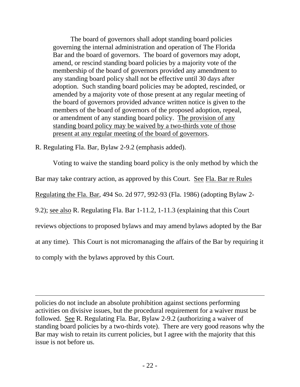The board of governors shall adopt standing board policies governing the internal administration and operation of The Florida Bar and the board of governors. The board of governors may adopt, amend, or rescind standing board policies by a majority vote of the membership of the board of governors provided any amendment to any standing board policy shall not be effective until 30 days after adoption. Such standing board policies may be adopted, rescinded, or amended by a majority vote of those present at any regular meeting of the board of governors provided advance written notice is given to the members of the board of governors of the proposed adoption, repeal, or amendment of any standing board policy. The provision of any standing board policy may be waived by a two-thirds vote of those present at any regular meeting of the board of governors.

R. Regulating Fla. Bar, Bylaw 2-9.2 (emphasis added).

l

 Voting to waive the standing board policy is the only method by which the Bar may take contrary action, as approved by this Court. See Fla. Bar re Rules Regulating the Fla. Bar, 494 So. 2d 977, 992-93 (Fla. 1986) (adopting Bylaw 2- 9.2); see also R. Regulating Fla. Bar 1-11.2, 1-11.3 (explaining that this Court reviews objections to proposed bylaws and may amend bylaws adopted by the Bar at any time). This Court is not micromanaging the affairs of the Bar by requiring it to comply with the bylaws approved by this Court.

policies do not include an absolute prohibition against sections performing activities on divisive issues, but the procedural requirement for a waiver must be followed. See R. Regulating Fla. Bar, Bylaw 2-9.2 (authorizing a waiver of standing board policies by a two-thirds vote). There are very good reasons why the Bar may wish to retain its current policies, but I agree with the majority that this issue is not before us.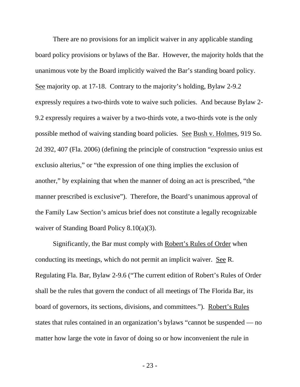There are no provisions for an implicit waiver in any applicable standing board policy provisions or bylaws of the Bar. However, the majority holds that the unanimous vote by the Board implicitly waived the Bar's standing board policy. See majority op. at 17-18. Contrary to the majority's holding, Bylaw 2-9.2 expressly requires a two-thirds vote to waive such policies. And because Bylaw 2- 9.2 expressly requires a waiver by a two-thirds vote, a two-thirds vote is the only possible method of waiving standing board policies. See Bush v. Holmes, 919 So. 2d 392, 407 (Fla. 2006) (defining the principle of construction "expressio unius est exclusio alterius," or "the expression of one thing implies the exclusion of another," by explaining that when the manner of doing an act is prescribed, "the manner prescribed is exclusive"). Therefore, the Board's unanimous approval of the Family Law Section's amicus brief does not constitute a legally recognizable waiver of Standing Board Policy 8.10(a)(3).

Significantly, the Bar must comply with Robert's Rules of Order when conducting its meetings, which do not permit an implicit waiver. See R. Regulating Fla. Bar, Bylaw 2-9.6 ("The current edition of Robert's Rules of Order shall be the rules that govern the conduct of all meetings of The Florida Bar, its board of governors, its sections, divisions, and committees."). Robert's Rules states that rules contained in an organization's bylaws "cannot be suspended — no matter how large the vote in favor of doing so or how inconvenient the rule in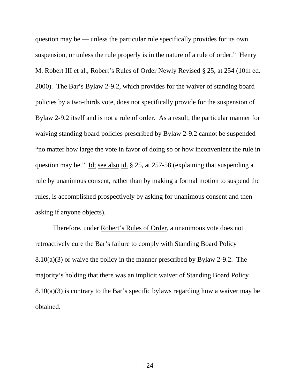question may be — unless the particular rule specifically provides for its own suspension, or unless the rule properly is in the nature of a rule of order." Henry M. Robert III et al., Robert's Rules of Order Newly Revised § 25, at 254 (10th ed. 2000). The Bar's Bylaw 2-9.2, which provides for the waiver of standing board policies by a two-thirds vote, does not specifically provide for the suspension of Bylaw 2-9.2 itself and is not a rule of order. As a result, the particular manner for waiving standing board policies prescribed by Bylaw 2-9.2 cannot be suspended "no matter how large the vote in favor of doing so or how inconvenient the rule in question may be." Id; see also id. § 25, at 257-58 (explaining that suspending a rule by unanimous consent, rather than by making a formal motion to suspend the rules, is accomplished prospectively by asking for unanimous consent and then asking if anyone objects).

Therefore, under Robert's Rules of Order, a unanimous vote does not retroactively cure the Bar's failure to comply with Standing Board Policy 8.10(a)(3) or waive the policy in the manner prescribed by Bylaw 2-9.2. The majority's holding that there was an implicit waiver of Standing Board Policy  $8.10(a)(3)$  is contrary to the Bar's specific bylaws regarding how a waiver may be obtained.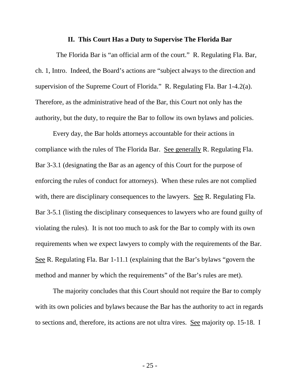#### **II. This Court Has a Duty to Supervise The Florida Bar**

 The Florida Bar is "an official arm of the court." R. Regulating Fla. Bar, ch. 1, Intro. Indeed, the Board's actions are "subject always to the direction and supervision of the Supreme Court of Florida." R. Regulating Fla. Bar 1-4.2(a). Therefore, as the administrative head of the Bar, this Court not only has the authority, but the duty, to require the Bar to follow its own bylaws and policies.

Every day, the Bar holds attorneys accountable for their actions in compliance with the rules of The Florida Bar. See generally R. Regulating Fla. Bar 3-3.1 (designating the Bar as an agency of this Court for the purpose of enforcing the rules of conduct for attorneys). When these rules are not complied with, there are disciplinary consequences to the lawyers. See R. Regulating Fla. Bar 3-5.1 (listing the disciplinary consequences to lawyers who are found guilty of violating the rules). It is not too much to ask for the Bar to comply with its own requirements when we expect lawyers to comply with the requirements of the Bar. See R. Regulating Fla. Bar 1-11.1 (explaining that the Bar's bylaws "govern the method and manner by which the requirements" of the Bar's rules are met).

The majority concludes that this Court should not require the Bar to comply with its own policies and bylaws because the Bar has the authority to act in regards to sections and, therefore, its actions are not ultra vires. See majority op. 15-18. I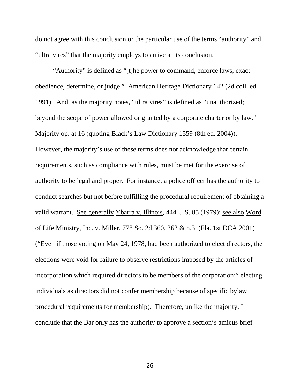do not agree with this conclusion or the particular use of the terms "authority" and "ultra vires" that the majority employs to arrive at its conclusion.

"Authority" is defined as "[t]he power to command, enforce laws, exact obedience, determine, or judge." American Heritage Dictionary 142 (2d coll. ed. 1991). And, as the majority notes, "ultra vires" is defined as "unauthorized; beyond the scope of power allowed or granted by a corporate charter or by law." Majority op. at 16 (quoting Black's Law Dictionary 1559 (8th ed. 2004)). However, the majority's use of these terms does not acknowledge that certain requirements, such as compliance with rules, must be met for the exercise of authority to be legal and proper. For instance, a police officer has the authority to conduct searches but not before fulfilling the procedural requirement of obtaining a valid warrant. See generally Ybarra v. Illinois, 444 U.S. 85 (1979); see also Word of Life Ministry, Inc. v. Miller, 778 So. 2d 360, 363 & n.3 (Fla. 1st DCA 2001) ("Even if those voting on May 24, 1978, had been authorized to elect directors, the elections were void for failure to observe restrictions imposed by the articles of incorporation which required directors to be members of the corporation;" electing individuals as directors did not confer membership because of specific bylaw procedural requirements for membership). Therefore, unlike the majority, I conclude that the Bar only has the authority to approve a section's amicus brief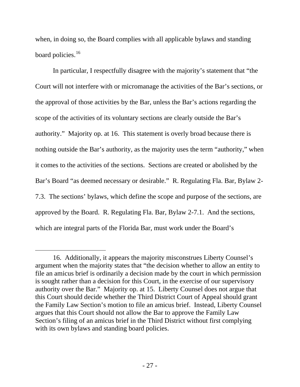when, in doing so, the Board complies with all applicable bylaws and standing board policies.<sup>[16](#page-26-0)</sup>

In particular, I respectfully disagree with the majority's statement that "the Court will not interfere with or micromanage the activities of the Bar's sections, or the approval of those activities by the Bar, unless the Bar's actions regarding the scope of the activities of its voluntary sections are clearly outside the Bar's authority." Majority op. at 16. This statement is overly broad because there is nothing outside the Bar's authority, as the majority uses the term "authority," when it comes to the activities of the sections. Sections are created or abolished by the Bar's Board "as deemed necessary or desirable." R. Regulating Fla. Bar, Bylaw 2- 7.3. The sections' bylaws, which define the scope and purpose of the sections, are approved by the Board. R. Regulating Fla. Bar, Bylaw 2-7.1. And the sections, which are integral parts of the Florida Bar, must work under the Board's

-

<span id="page-26-0"></span><sup>16.</sup> Additionally, it appears the majority misconstrues Liberty Counsel's argument when the majority states that "the decision whether to allow an entity to file an amicus brief is ordinarily a decision made by the court in which permission is sought rather than a decision for this Court, in the exercise of our supervisory authority over the Bar." Majority op. at 15. Liberty Counsel does not argue that this Court should decide whether the Third District Court of Appeal should grant the Family Law Section's motion to file an amicus brief. Instead, Liberty Counsel argues that this Court should not allow the Bar to approve the Family Law Section's filing of an amicus brief in the Third District without first complying with its own bylaws and standing board policies.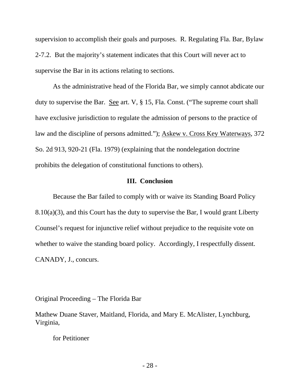supervision to accomplish their goals and purposes. R. Regulating Fla. Bar, Bylaw 2-7.2. But the majority's statement indicates that this Court will never act to supervise the Bar in its actions relating to sections.

As the administrative head of the Florida Bar, we simply cannot abdicate our duty to supervise the Bar. See art. V, § 15, Fla. Const. ("The supreme court shall have exclusive jurisdiction to regulate the admission of persons to the practice of law and the discipline of persons admitted."); Askew v. Cross Key Waterways, 372 So. 2d 913, 920-21 (Fla. 1979) (explaining that the nondelegation doctrine prohibits the delegation of constitutional functions to others).

#### **III. Conclusion**

Because the Bar failed to comply with or waive its Standing Board Policy  $8.10(a)(3)$ , and this Court has the duty to supervise the Bar, I would grant Liberty Counsel's request for injunctive relief without prejudice to the requisite vote on whether to waive the standing board policy. Accordingly, I respectfully dissent. CANADY, J., concurs.

Original Proceeding – The Florida Bar

Mathew Duane Staver, Maitland, Florida, and Mary E. McAlister, Lynchburg, Virginia,

for Petitioner